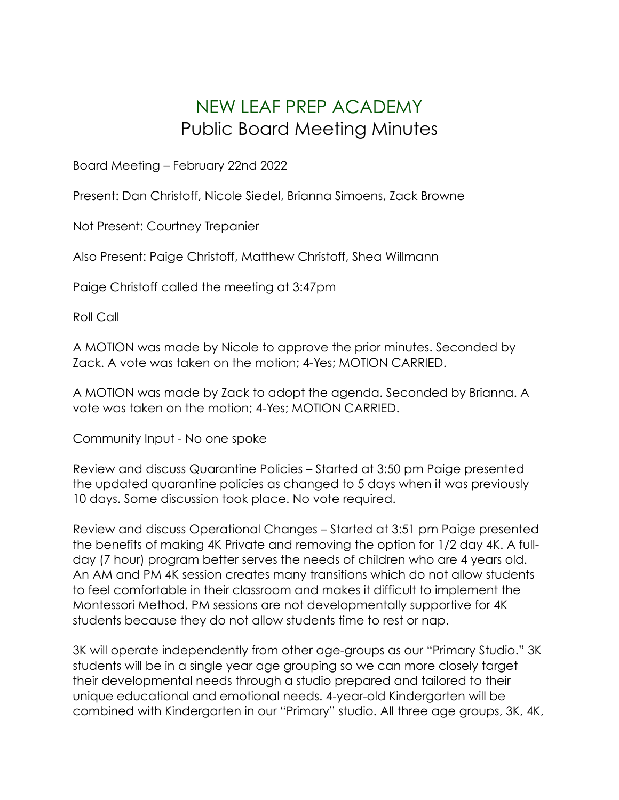## NEW LEAF PREP ACADEMY Public Board Meeting Minutes

Board Meeting – February 22nd 2022

Present: Dan Christoff, Nicole Siedel, Brianna Simoens, Zack Browne

Not Present: Courtney Trepanier

Also Present: Paige Christoff, Matthew Christoff, Shea Willmann

Paige Christoff called the meeting at 3:47pm

Roll Call

A MOTION was made by Nicole to approve the prior minutes. Seconded by Zack. A vote was taken on the motion; 4-Yes; MOTION CARRIED.

A MOTION was made by Zack to adopt the agenda. Seconded by Brianna. A vote was taken on the motion; 4-Yes; MOTION CARRIED.

Community Input - No one spoke

Review and discuss Quarantine Policies – Started at 3:50 pm Paige presented the updated quarantine policies as changed to 5 days when it was previously 10 days. Some discussion took place. No vote required.

Review and discuss Operational Changes – Started at 3:51 pm Paige presented the benefits of making 4K Private and removing the option for 1/2 day 4K. A fullday (7 hour) program better serves the needs of children who are 4 years old. An AM and PM 4K session creates many transitions which do not allow students to feel comfortable in their classroom and makes it difficult to implement the Montessori Method. PM sessions are not developmentally supportive for 4K students because they do not allow students time to rest or nap.

3K will operate independently from other age-groups as our "Primary Studio." 3K students will be in a single year age grouping so we can more closely target their developmental needs through a studio prepared and tailored to their unique educational and emotional needs. 4-year-old Kindergarten will be combined with Kindergarten in our "Primary" studio. All three age groups, 3K, 4K,